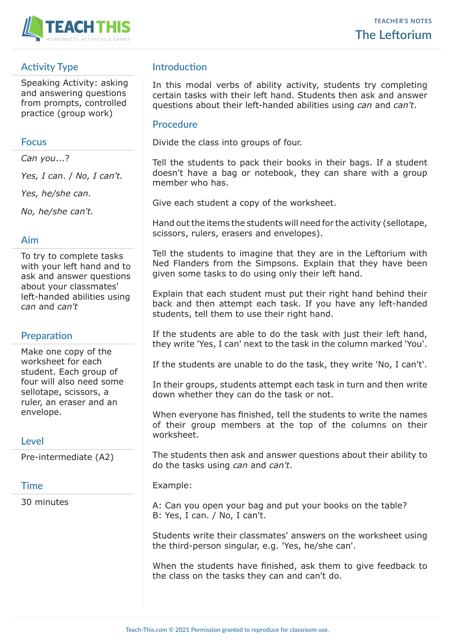

# **Activity Type**

Speaking Activity: asking and answering questions from prompts, controlled practice (group work)

## **Focus**

*Can you*...?

*Yes, I can*. / *No, I can't.*

*Yes, he/she can.*

*No, he/she can't.*

## **Aim**

To try to complete tasks with your left hand and to ask and answer questions about your classmates' left-handed abilities using *can* and *can't*

# **Preparation**

Make one copy of the worksheet for each student. Each group of four will also need some sellotape, scissors, a ruler, an eraser and an envelope.

## **Level**

Pre-intermediate (A2)

#### **Time**

30 minutes

# **Introduction**

In this modal verbs of ability activity, students try completing certain tasks with their left hand. Students then ask and answer questions about their left-handed abilities using *can* and *can't*.

### **Procedure**

Divide the class into groups of four.

Tell the students to pack their books in their bags. If a student doesn't have a bag or notebook, they can share with a group member who has.

Give each student a copy of the worksheet.

Hand out the items the students will need for the activity (sellotape, scissors, rulers, erasers and envelopes).

Tell the students to imagine that they are in the Leftorium with Ned Flanders from the Simpsons. Explain that they have been given some tasks to do using only their left hand.

Explain that each student must put their right hand behind their back and then attempt each task. If you have any left-handed students, tell them to use their right hand.

If the students are able to do the task with just their left hand, they write 'Yes, I can' next to the task in the column marked 'You'.

If the students are unable to do the task, they write 'No, I can't'.

In their groups, students attempt each task in turn and then write down whether they can do the task or not.

When everyone has finished, tell the students to write the names of their group members at the top of the columns on their worksheet.

The students then ask and answer questions about their ability to do the tasks using *can* and *can't*.

#### Example:

A: Can you open your bag and put your books on the table? B: Yes, I can. / No, I can't.

Students write their classmates' answers on the worksheet using the third-person singular, e.g. 'Yes, he/she can'.

When the students have finished, ask them to give feedback to the class on the tasks they can and can't do.